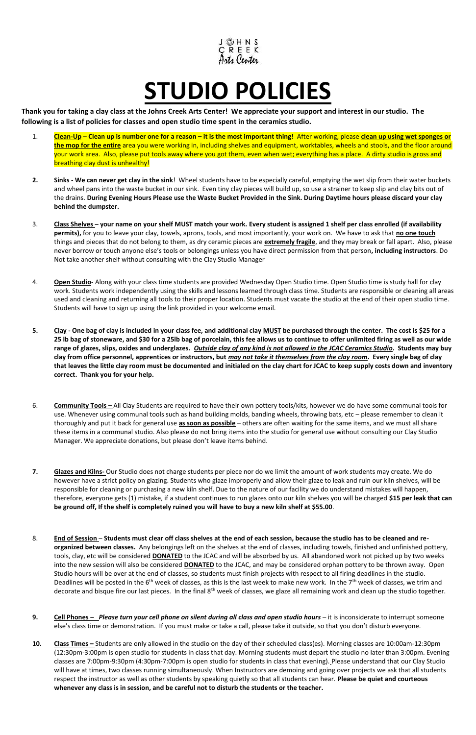

## **STUDIO POLICIES**

**Thank you for taking a clay class at the Johns Creek Arts Center! We appreciate your support and interest in our studio. The following is a list of policies for classes and open studio time spent in the ceramics studio.** 

- 1. **Clean-Up Clean up is number one for a reason – it is the most important thing!** After working, please **clean up using wet sponges or the mop for the entire** area you were working in, including shelves and equipment, worktables, wheels and stools, and the floor around your work area. Also, please put tools away where you got them, even when wet; everything has a place. A dirty studio is gross and breathing clay dust is unhealthy!
- **2. Sinks - We can never get clay in the sink**! Wheel students have to be especially careful, emptying the wet slip from their water buckets and wheel pans into the waste bucket in our sink. Even tiny clay pieces will build up, so use a strainer to keep slip and clay bits out of the drains. **During Evening Hours Please use the Waste Bucket Provided in the Sink. During Daytime hours please discard your clay behind the dumpster.**
- 3. **Class Shelves – your name on your shelf MUST match your work. Every student is assigned 1 shelf per class enrolled (if availability permits),** for you to leave your clay, towels, aprons, tools, and most importantly, your work on. We have to ask that **no one touch** things and pieces that do not belong to them, as dry ceramic pieces are **extremely fragile**, and they may break or fall apart. Also, please never borrow or touch anyone else's tools or belongings unless you have direct permission from that person**, including instructors**. Do Not take another shelf without consulting with the Clay Studio Manager
- 4. **Open Studio** Along with your class time students are provided Wednesday Open Studio time. Open Studio time is study hall for clay work. Students work independently using the skills and lessons learned through class time. Students are responsible or cleaning all areas used and cleaning and returning all tools to their proper location. Students must vacate the studio at the end of their open studio time. Students will have to sign up using the link provided in your welcome email.
- **5. Clay - One bag of clay is included in your class fee, and additional clay MUST be purchased through the center. The cost is \$25 for a 25 lb bag of stoneware, and \$30 for a 25lb bag of porcelain, this fee allows us to continue to offer unlimited firing as well as our wide range of glazes, slips, oxides and underglazes.** *Outside clay of any kind is not allowed in the JCAC Ceramics Studio***. Students may buy clay from office personnel, apprentices or instructors, but** *may not take it themselves from the clay room***. Every single bag of clay that leaves the little clay room must be documented and initialed on the clay chart for JCAC to keep supply costs down and inventory correct. Thank you for your help.**
- 6. **Community Tools –** All Clay Students are required to have their own pottery tools/kits, however we do have some communal tools for use. Whenever using communal tools such as hand building molds, banding wheels, throwing bats, etc – please remember to clean it thoroughly and put it back for general use **as soon as possible** – others are often waiting for the same items, and we must all share these items in a communal studio. Also please do not bring items into the studio for general use without consulting our Clay Studio Manager. We appreciate donations, but please don't leave items behind.
- **7. Glazes and Kilns-** Our Studio does not charge students per piece nor do we limit the amount of work students may create. We do however have a strict policy on glazing. Students who glaze improperly and allow their glaze to leak and ruin our kiln shelves, will be responsible for cleaning or purchasing a new kiln shelf. Due to the nature of our facility we do understand mistakes will happen, therefore, everyone gets (1) mistake, if a student continues to run glazes onto our kiln shelves you will be charged **\$15 per leak that can be ground off, If the shelf is completely ruined you will have to buy a new kiln shelf at \$55.00**.
- 8. **End of Session Students must clear off class shelves at the end of each session, because the studio has to be cleaned and reorganized between classes.** Any belongings left on the shelves at the end of classes, including towels, finished and unfinished pottery, tools, clay, etc will be considered **DONATED** to the JCAC and will be absorbed by us. All abandoned work not picked up by two weeks into the new session will also be considered **DONATED** to the JCAC, and may be considered orphan pottery to be thrown away. Open Studio hours will be over at the end of classes, so students must finish projects with respect to all firing deadlines in the studio. Deadlines will be posted in the  $6<sup>th</sup>$  week of classes, as this is the last week to make new work. In the  $7<sup>th</sup>$  week of classes, we trim and decorate and bisque fire our last pieces. In the final 8<sup>th</sup> week of classes, we glaze all remaining work and clean up the studio together.
- **9. Cell Phones –** *Please turn your cell phone on silent during all class and open studio hours* it is inconsiderate to interrupt someone else's class time or demonstration. If you must make or take a call, please take it outside, so that you don't disturb everyone.
- 10. **Class Times** Students are only allowed in the studio on the day of their scheduled class(es). Morning classes are 10:00am-12:30pm (12:30pm-3:00pm is open studio for students in class that day. Morning students must depart the studio no later than 3:00pm. Evening classes are 7:00pm-9:30pm (4:30pm-7:00pm is open studio for students in class that evening). Please understand that our Clay Studio will have at times, two classes running simultaneously. When Instructors are demoing and going over projects we ask that all students respect the instructor as well as other students by speaking quietly so that all students can hear. **Please be quiet and courteous whenever any class is in session, and be careful not to disturb the students or the teacher.**